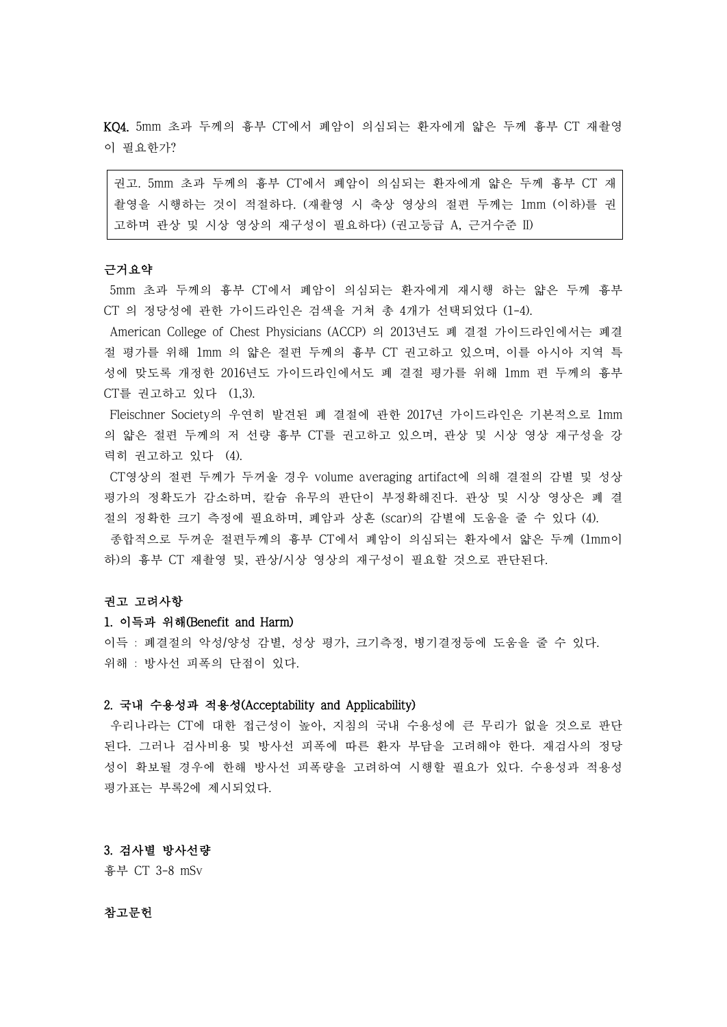KQ4. 5mm 초과 두께의 흉부 CT에서 폐암이 의심되는 환자에게 얇은 두께 흉부 CT 재촬영 이 필요한가?

권고. 5mm 초과 두께의 흉부 CT에서 폐암이 의심되는 환자에게 얇은 두께 흉부 CT 재 촬영을 시행하는 것이 적절하다. (재촬영 시 축상 영상의 절편 두께는 1mm (이하)를 권 고하며 관상 및 시상 영상의 재구성이 필요하다) (권고등급 A, 근거수준 II)

# 근거요약

5mm 초과 두께의 흉부 CT에서 폐암이 의심되는 환자에게 재시행 하는 얇은 두께 흉부 CT 의 정당성에 관한 가이드라인은 검색을 거쳐 총 4개가 선택되었다 (1-4).

American College of Chest Physicians (ACCP) 의 2013년도 폐 결절 가이드라인에서는 폐결 절 평가를 위해 1mm 의 얇은 절편 두께의 흉부 CT 권고하고 있으며, 이를 아시아 지역 특 성에 맞도록 개정한 2016년도 가이드라인에서도 폐 결절 평가를 위해 1mm 편 두께의 흉부 CT를 권고하고 있다 (1,3).

Fleischner Society의 우연히 발견된 폐 결절에 관한 2017년 가이드라인은 기본적으로 1mm 의 얇은 절편 두께의 저 선량 흉부 CT를 권고하고 있으며, 관상 및 시상 영상 재구성을 강 력히 권고하고 있다 (4).

CT영상의 절편 두께가 두꺼울 경우 volume averaging artifact에 의해 결절의 감별 및 성상 평가의 정확도가 감소하며, 칼슘 유무의 판단이 부정확해진다. 관상 및 시상 영상은 폐 결 절의 정확한 크기 측정에 필요하며, 폐암과 상흔 (scar)의 감별에 도움을 줄 수 있다 (4). 종합적으로 두꺼운 절편두께의 흉부 CT에서 폐암이 의심되는 환자에서 얇은 두께 (1mm이 하)의 흉부 CT 재촬영 및, 관상/시상 영상의 재구성이 필요할 것으로 판단된다.<br>**권고 고려사항** 

#### 1. 이득과 위해(Benefit and Harm)

이득 : 폐결절의 악성/양성 감별, 성상 평가, 크기측정, 병기결정등에 도움을 줄 수 있다.<br>위해 : 방사선 피폭의 단점이 있다.

## 2. 국내 수용성과 적용성(Acceptability and Applicability)

우리나라는 CT에 대한 접근성이 높아, 지침의 국내 수용성에 큰 무리가 없을 것으로 판단 된다. 그러나 검사비용 및 방사선 피폭에 따른 환자 부담을 고려해야 한다. 재검사의 정당 성이 확보될 경우에 한해 방사선 피폭량을 고려하여 시행할 필요가 있다. 수용성과 적용성 평가표는 부록2에 제시되었다.

## 3. 검사별 방사선량

흉부 CT 3-8 mSv

### 참고문헌